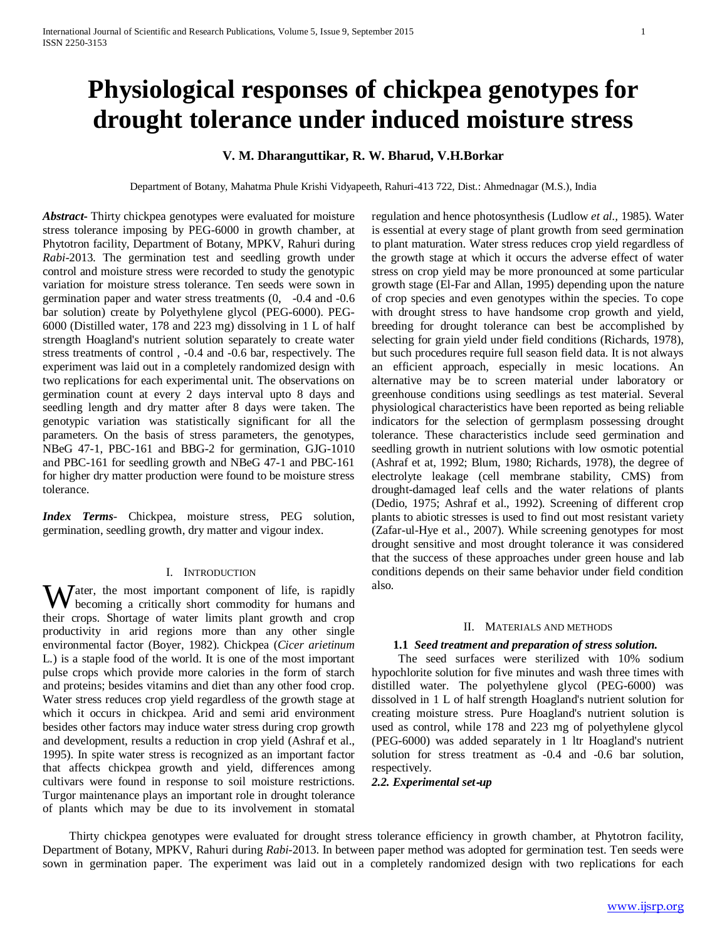# **Physiological responses of chickpea genotypes for drought tolerance under induced moisture stress**

## **V. M. Dharanguttikar, R. W. Bharud, V.H.Borkar**

Department of Botany, Mahatma Phule Krishi Vidyapeeth, Rahuri-413 722, Dist.: Ahmednagar (M.S.), India

*Abstract***-** Thirty chickpea genotypes were evaluated for moisture stress tolerance imposing by PEG-6000 in growth chamber, at Phytotron facility, Department of Botany, MPKV, Rahuri during *Rabi*-2013. The germination test and seedling growth under control and moisture stress were recorded to study the genotypic variation for moisture stress tolerance. Ten seeds were sown in germination paper and water stress treatments (0, -0.4 and -0.6 bar solution) create by Polyethylene glycol (PEG-6000). PEG-6000 (Distilled water, 178 and 223 mg) dissolving in 1 L of half strength Hoagland's nutrient solution separately to create water stress treatments of control , -0.4 and -0.6 bar, respectively. The experiment was laid out in a completely randomized design with two replications for each experimental unit. The observations on germination count at every 2 days interval upto 8 days and seedling length and dry matter after 8 days were taken. The genotypic variation was statistically significant for all the parameters. On the basis of stress parameters, the genotypes, NBeG 47-1, PBC-161 and BBG-2 for germination, GJG-1010 and PBC-161 for seedling growth and NBeG 47-1 and PBC-161 for higher dry matter production were found to be moisture stress tolerance.

*Index Terms*- Chickpea, moisture stress, PEG solution, germination, seedling growth, dry matter and vigour index.

#### I. INTRODUCTION

ater, the most important component of life, is rapidly Water, the most important component of life, is rapidly becoming a critically short commodity for humans and their crops. Shortage of water limits plant growth and crop productivity in arid regions more than any other single environmental factor (Boyer, 1982). Chickpea (*Cicer arietinum* L*.*) is a staple food of the world. It is one of the most important pulse crops which provide more calories in the form of starch and proteins; besides vitamins and diet than any other food crop. Water stress reduces crop yield regardless of the growth stage at which it occurs in chickpea. Arid and semi arid environment besides other factors may induce water stress during crop growth and development, results a reduction in crop yield (Ashraf et al., 1995). In spite water stress is recognized as an important factor that affects chickpea growth and yield, differences among cultivars were found in response to soil moisture restrictions. Turgor maintenance plays an important role in drought tolerance of plants which may be due to its involvement in stomatal

regulation and hence photosynthesis (Ludlow *et al.,* 1985). Water is essential at every stage of plant growth from seed germination to plant maturation. Water stress reduces crop yield regardless of the growth stage at which it occurs the adverse effect of water stress on crop yield may be more pronounced at some particular growth stage (El-Far and Allan, 1995) depending upon the nature of crop species and even genotypes within the species. To cope with drought stress to have handsome crop growth and yield, breeding for drought tolerance can best be accomplished by selecting for grain yield under field conditions (Richards, 1978), but such procedures require full season field data. It is not always an efficient approach, especially in mesic locations. An alternative may be to screen material under laboratory or greenhouse conditions using seedlings as test material. Several physiological characteristics have been reported as being reliable indicators for the selection of germplasm possessing drought tolerance. These characteristics include seed germination and seedling growth in nutrient solutions with low osmotic potential (Ashraf et at, 1992; Blum, 1980; Richards, 1978), the degree of electrolyte leakage (cell membrane stability, CMS) from drought-damaged leaf cells and the water relations of plants (Dedio, 1975; Ashraf et al., 1992). Screening of different crop plants to abiotic stresses is used to find out most resistant variety (Zafar-ul-Hye et al., 2007). While screening genotypes for most drought sensitive and most drought tolerance it was considered that the success of these approaches under green house and lab conditions depends on their same behavior under field condition also.

#### II. MATERIALS AND METHODS

#### **1.1** *Seed treatment and preparation of stress solution.*

 The seed surfaces were sterilized with 10% sodium hypochlorite solution for five minutes and wash three times with distilled water. The polyethylene glycol (PEG-6000) was dissolved in 1 L of half strength Hoagland's nutrient solution for creating moisture stress. Pure Hoagland's nutrient solution is used as control, while 178 and 223 mg of polyethylene glycol (PEG-6000) was added separately in 1 ltr Hoagland's nutrient solution for stress treatment as -0.4 and -0.6 bar solution, respectively.

## *2.2. Experimental set*‐*up*

 Thirty chickpea genotypes were evaluated for drought stress tolerance efficiency in growth chamber, at Phytotron facility, Department of Botany, MPKV, Rahuri during *Rabi*-2013. In between paper method was adopted for germination test. Ten seeds were sown in germination paper. The experiment was laid out in a completely randomized design with two replications for each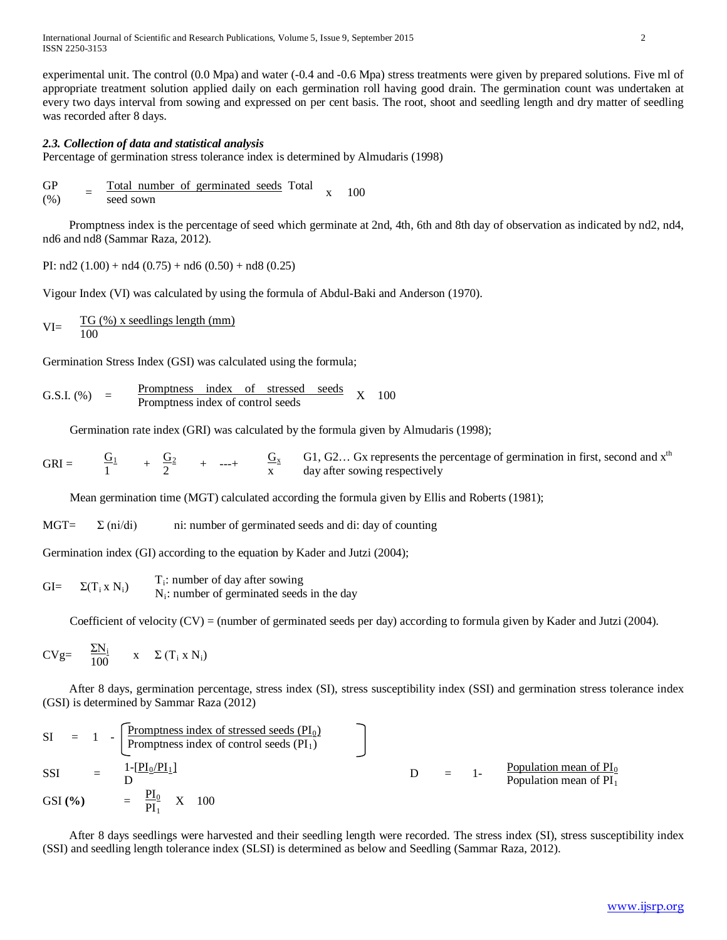International Journal of Scientific and Research Publications, Volume 5, Issue 9, September 2015 2 ISSN 2250-3153

experimental unit. The control (0.0 Mpa) and water (-0.4 and -0.6 Mpa) stress treatments were given by prepared solutions. Five ml of appropriate treatment solution applied daily on each germination roll having good drain. The germination count was undertaken at every two days interval from sowing and expressed on per cent basis. The root, shoot and seedling length and dry matter of seedling was recorded after 8 days.

### *2.3. Collection of data and statistical analysis*

Percentage of germination stress tolerance index is determined by Almudaris (1998)

$$
\begin{array}{cc}\nGP & = \underline{\text{Total number of germinated seeds}} \\
(%) & = \underline{\text{seed sown}}\n\end{array} \n\begin{array}{c}\n100 \\
\text{100}\n\end{array}
$$

 Promptness index is the percentage of seed which germinate at 2nd, 4th, 6th and 8th day of observation as indicated by nd2, nd4, nd6 and nd8 (Sammar Raza, 2012).

PI:  $nd2 (1.00) + nd4 (0.75) + nd6 (0.50) + nd8 (0.25)$ 

Vigour Index (VI) was calculated by using the formula of Abdul-Baki and Anderson (1970).

VI = 
$$
\frac{TG(\%) \times seedlings length (mm)}{100}
$$

Germination Stress Index (GSI) was calculated using the formula;

G.S.I. (%) = 
$$
\frac{Promptness index of stressed seeds}{Promptness index of control seeds} X 100
$$

Germination rate index (GRI) was calculated by the formula given by Almudaris (1998);

$$
GRI = \frac{G_1}{1} + \frac{G_2}{2} + \dots + \frac{G_x}{x}
$$
 G1, G2... Gx represents the percentage of germination in first, second and x<sup>th</sup> day after swing respectively

Mean germination time (MGT) calculated according the formula given by Ellis and Roberts (1981);

 $MGT=$   $\Sigma$  (ni/di) ni: number of germinated seeds and di: day of counting

Germination index (GI) according to the equation by Kader and Jutzi (2004);

GI=  $\Sigma(T_i \times N_i)$  T<sub>i</sub>: number of day after sowing Ni: number of germinated seeds in the day

Coefficient of velocity (CV) = (number of germinated seeds per day) according to formula given by Kader and Jutzi (2004).

$$
CVg = \frac{\Sigma N_i}{100} \qquad x \quad \Sigma (T_i \times N_i)
$$

 After 8 days, germination percentage, stress index (SI), stress susceptibility index (SSI) and germination stress tolerance index (GSI) is determined by Sammar Raza (2012)

SI = 1 - 
$$
\frac{\text{Promptness index of stressed seeds (PI0)}}{\text{Promptness index of control seeds (PI1)} }
$$
  
\nSSI = 
$$
\frac{1-[PI_0/PI_1]}{D}
$$
  
\nGSI (%) = 
$$
\frac{PI_0}{PI_1}
$$
 X 100  
\nX 100

 After 8 days seedlings were harvested and their seedling length were recorded. The stress index (SI), stress susceptibility index (SSI) and seedling length tolerance index (SLSI) is determined as below and Seedling (Sammar Raza, 2012).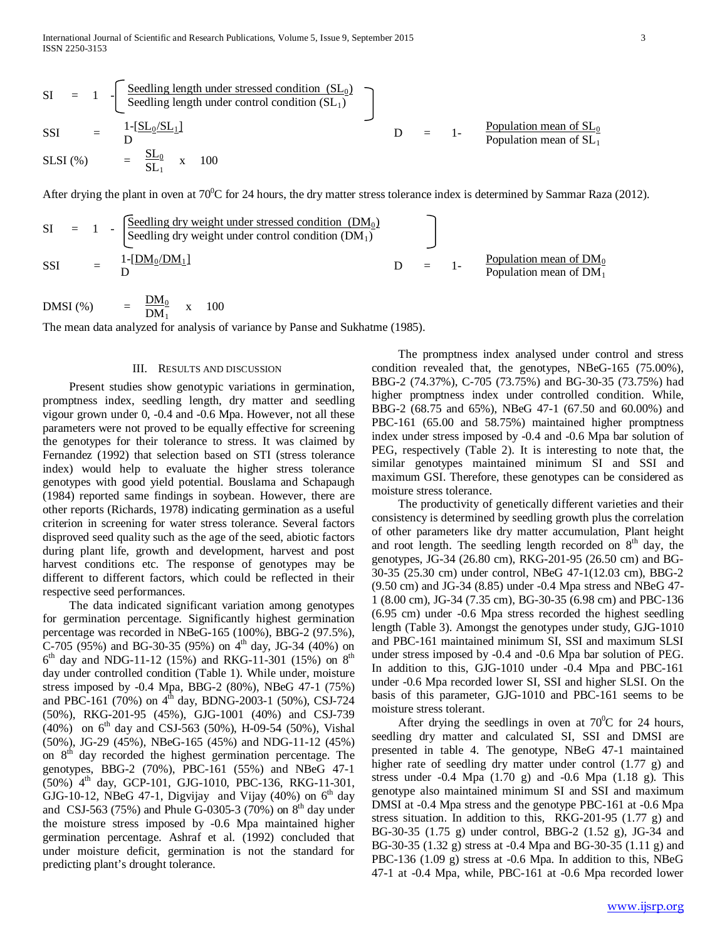$$
SI = 1 - \left[ \frac{\text{Seedling length under stressed condition (SL0)}}{\text{Seedling length under control condition (SL1)}} \right]
$$
\n
$$
SSI = \frac{1 - [SL0/SL1]}{D} \qquad D = 1 - \frac{\text{Population mean of SL0}}{\text{Population mean of SL1}} \text{Population mean of SL1}
$$

After drying the plant in oven at  $70^0C$  for 24 hours, the dry matter stress tolerance index is determined by Sammar Raza (2012).

| $SI = 1 - \underbrace{\begin{bmatrix} \text{Seeding dry weight under stressed condition } (DM_0) \\ \text{Seeding dry weight under control condition } (DM_1) \end{bmatrix}}_{D} = 1 - \underbrace{\begin{bmatrix} \text{Dopulation mean of } DM_0 \\ \text{Population mean of } DM_1 \end{bmatrix}}_{D}$ |
|-----------------------------------------------------------------------------------------------------------------------------------------------------------------------------------------------------------------------------------------------------------------------------------------------------------|
|-----------------------------------------------------------------------------------------------------------------------------------------------------------------------------------------------------------------------------------------------------------------------------------------------------------|

$$
DMSI\left(\%\right) \qquad = \frac{DM_0}{DM_1} \quad x \quad 100
$$

The mean data analyzed for analysis of variance by Panse and Sukhatme (1985).

#### III. RESULTS AND DISCUSSION

 Present studies show genotypic variations in germination, promptness index, seedling length, dry matter and seedling vigour grown under 0, -0.4 and -0.6 Mpa. However, not all these parameters were not proved to be equally effective for screening the genotypes for their tolerance to stress. It was claimed by Fernandez (1992) that selection based on STI (stress tolerance index) would help to evaluate the higher stress tolerance genotypes with good yield potential. Bouslama and Schapaugh (1984) reported same findings in soybean. However, there are other reports (Richards, 1978) indicating germination as a useful criterion in screening for water stress tolerance. Several factors disproved seed quality such as the age of the seed, abiotic factors during plant life, growth and development, harvest and post harvest conditions etc. The response of genotypes may be different to different factors, which could be reflected in their respective seed performances.

 The data indicated significant variation among genotypes for germination percentage. Significantly highest germination percentage was recorded in NBeG-165 (100%), BBG-2 (97.5%), C-705 (95%) and BG-30-35 (95%) on  $4^{\text{th}}$  day, JG-34 (40%) on  $6<sup>th</sup>$  day and NDG-11-12 (15%) and RKG-11-301 (15%) on  $8<sup>th</sup>$ day under controlled condition (Table 1). While under, moisture stress imposed by -0.4 Mpa, BBG-2 (80%), NBeG 47-1 (75%) and PBC-161 (70%) on  $4^{\text{th}}$  day, BDNG-2003-1 (50%), CSJ-724 (50%), RKG-201-95 (45%), GJG-1001 (40%) and CSJ-739  $(40\%)$  on 6<sup>th</sup> day and CSJ-563 (50%), H-09-54 (50%), Vishal (50%), JG-29 (45%), NBeG-165 (45%) and NDG-11-12 (45%) on  $8<sup>th</sup>$  day recorded the highest germination percentage. The genotypes, BBG-2 (70%), PBC-161 (55%) and NBeG 47-1  $(50\%)$  4<sup>th</sup> day, GCP-101, GJG-1010, PBC-136, RKG-11-301, GJG-10-12, NBeG 47-1, Digvijay and Vijay (40%) on  $6<sup>th</sup>$  day and CSJ-563 (75%) and Phule G-0305-3 (70%) on  $8^{th}$  day under the moisture stress imposed by -0.6 Mpa maintained higher germination percentage. Ashraf et al. (1992) concluded that under moisture deficit, germination is not the standard for predicting plant's drought tolerance.

 The promptness index analysed under control and stress condition revealed that, the genotypes, NBeG-165 (75.00%), BBG-2 (74.37%), C-705 (73.75%) and BG-30-35 (73.75%) had higher promptness index under controlled condition. While, BBG-2 (68.75 and 65%), NBeG 47-1 (67.50 and 60.00%) and PBC-161 (65.00 and 58.75%) maintained higher promptness index under stress imposed by -0.4 and -0.6 Mpa bar solution of PEG, respectively (Table 2). It is interesting to note that, the similar genotypes maintained minimum SI and SSI and maximum GSI. Therefore, these genotypes can be considered as moisture stress tolerance.

 The productivity of genetically different varieties and their consistency is determined by seedling growth plus the correlation of other parameters like dry matter accumulation, Plant height and root length. The seedling length recorded on  $8<sup>th</sup>$  day, the genotypes, JG-34 (26.80 cm), RKG-201-95 (26.50 cm) and BG-30-35 (25.30 cm) under control, NBeG 47-1(12.03 cm), BBG-2 (9.50 cm) and JG-34 (8.85) under -0.4 Mpa stress and NBeG 47- 1 (8.00 cm), JG-34 (7.35 cm), BG-30-35 (6.98 cm) and PBC-136 (6.95 cm) under -0.6 Mpa stress recorded the highest seedling length (Table 3). Amongst the genotypes under study, GJG-1010 and PBC-161 maintained minimum SI, SSI and maximum SLSI under stress imposed by -0.4 and -0.6 Mpa bar solution of PEG. In addition to this, GJG-1010 under -0.4 Mpa and PBC-161 under -0.6 Mpa recorded lower SI, SSI and higher SLSI. On the basis of this parameter, GJG-1010 and PBC-161 seems to be moisture stress tolerant.

After drying the seedlings in oven at  $70^{\circ}$ C for 24 hours, seedling dry matter and calculated SI, SSI and DMSI are presented in table 4. The genotype, NBeG 47-1 maintained higher rate of seedling dry matter under control  $(1.77 \text{ g})$  and stress under -0.4 Mpa (1.70 g) and -0.6 Mpa (1.18 g). This genotype also maintained minimum SI and SSI and maximum DMSI at -0.4 Mpa stress and the genotype PBC-161 at -0.6 Mpa stress situation. In addition to this, RKG-201-95 (1.77 g) and BG-30-35 (1.75 g) under control, BBG-2 (1.52 g), JG-34 and BG-30-35 (1.32 g) stress at -0.4 Mpa and BG-30-35 (1.11 g) and PBC-136 (1.09 g) stress at -0.6 Mpa. In addition to this, NBeG 47-1 at -0.4 Mpa, while, PBC-161 at -0.6 Mpa recorded lower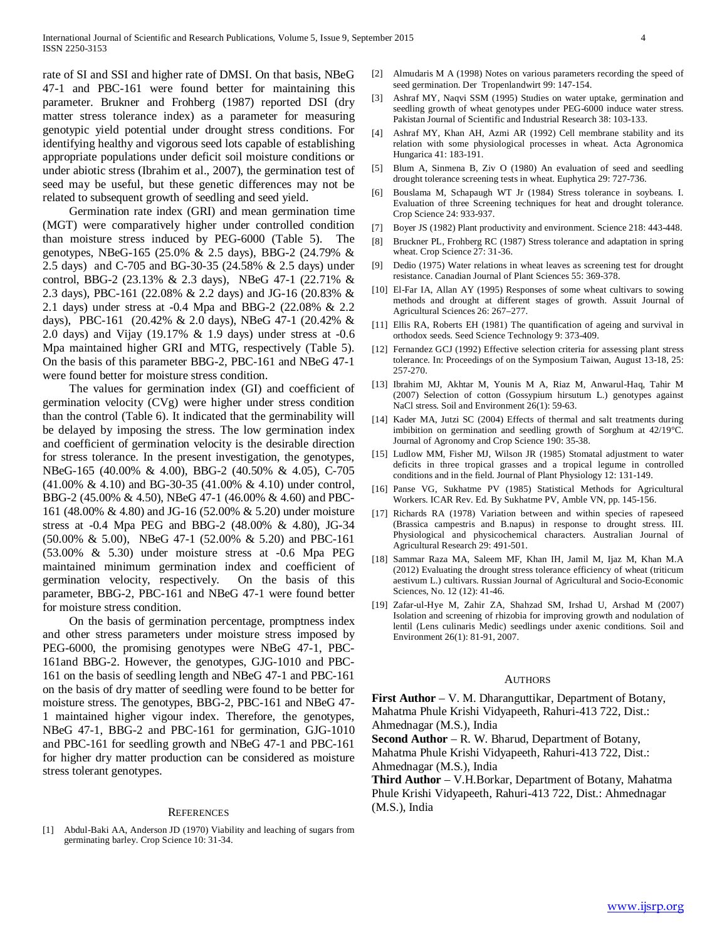rate of SI and SSI and higher rate of DMSI. On that basis, NBeG 47-1 and PBC-161 were found better for maintaining this parameter. Brukner and Frohberg (1987) reported DSI (dry matter stress tolerance index) as a parameter for measuring genotypic yield potential under drought stress conditions. For identifying healthy and vigorous seed lots capable of establishing appropriate populations under deficit soil moisture conditions or under abiotic stress (Ibrahim et al., 2007), the germination test of seed may be useful, but these genetic differences may not be related to subsequent growth of seedling and seed yield.

 Germination rate index (GRI) and mean germination time (MGT) were comparatively higher under controlled condition than moisture stress induced by PEG-6000 (Table 5). The genotypes, NBeG-165 (25.0% & 2.5 days), BBG-2 (24.79% & 2.5 days) and C-705 and BG-30-35 (24.58% & 2.5 days) under control, BBG-2 (23.13% & 2.3 days), NBeG 47-1 (22.71% & 2.3 days), PBC-161 (22.08% & 2.2 days) and JG-16 (20.83% & 2.1 days) under stress at -0.4 Mpa and BBG-2 (22.08% & 2.2 days), PBC-161 (20.42% & 2.0 days), NBeG 47-1 (20.42% & 2.0 days) and Vijay (19.17% & 1.9 days) under stress at -0.6 Mpa maintained higher GRI and MTG, respectively (Table 5). On the basis of this parameter BBG-2, PBC-161 and NBeG 47-1 were found better for moisture stress condition.

 The values for germination index (GI) and coefficient of germination velocity (CVg) were higher under stress condition than the control (Table 6). It indicated that the germinability will be delayed by imposing the stress. The low germination index and coefficient of germination velocity is the desirable direction for stress tolerance. In the present investigation, the genotypes, NBeG-165 (40.00% & 4.00), BBG-2 (40.50% & 4.05), C-705 (41.00% & 4.10) and BG-30-35 (41.00% & 4.10) under control, BBG-2 (45.00% & 4.50), NBeG 47-1 (46.00% & 4.60) and PBC-161 (48.00% & 4.80) and JG-16 (52.00% & 5.20) under moisture stress at -0.4 Mpa PEG and BBG-2 (48.00% & 4.80), JG-34 (50.00% & 5.00), NBeG 47-1 (52.00% & 5.20) and PBC-161 (53.00% & 5.30) under moisture stress at -0.6 Mpa PEG maintained minimum germination index and coefficient of germination velocity, respectively. On the basis of this parameter, BBG-2, PBC-161 and NBeG 47-1 were found better for moisture stress condition.

 On the basis of germination percentage, promptness index and other stress parameters under moisture stress imposed by PEG-6000, the promising genotypes were NBeG 47-1, PBC-161and BBG-2. However, the genotypes, GJG-1010 and PBC-161 on the basis of seedling length and NBeG 47-1 and PBC-161 on the basis of dry matter of seedling were found to be better for moisture stress. The genotypes, BBG-2, PBC-161 and NBeG 47- 1 maintained higher vigour index. Therefore, the genotypes, NBeG 47-1, BBG-2 and PBC-161 for germination, GJG-1010 and PBC-161 for seedling growth and NBeG 47-1 and PBC-161 for higher dry matter production can be considered as moisture stress tolerant genotypes.

#### **REFERENCES**

[1] Abdul-Baki AA, Anderson JD (1970) Viability and leaching of sugars from germinating barley. Crop Science 10: 31-34.

- [2] Almudaris M A (1998) Notes on various parameters recording the speed of seed germination. Der Tropenlandwirt 99: 147-154.
- [3] Ashraf MY, Naqvi SSM (1995) Studies on water uptake, germination and seedling growth of wheat genotypes under PEG-6000 induce water stress. Pakistan Journal of Scientific and Industrial Research 38: 103-133.
- Ashraf MY, Khan AH, Azmi AR (1992) Cell membrane stability and its relation with some physiological processes in wheat. Acta Agronomica Hungarica 41: 183-191.
- [5] Blum A, Sinmena B, Ziv O (1980) An evaluation of seed and seedling drought tolerance screening tests in wheat. Euphytica 29: 727-736.
- [6] Bouslama M, Schapaugh WT Jr (1984) Stress tolerance in soybeans. I. Evaluation of three Screening techniques for heat and drought tolerance. Crop Science 24: 933-937.
- [7] Boyer JS (1982) Plant productivity and environment. Science 218: 443-448.
- [8] Bruckner PL, Frohberg RC (1987) Stress tolerance and adaptation in spring wheat. Crop Science 27: 31-36.
- [9] Dedio (1975) Water relations in wheat leaves as screening test for drought resistance. Canadian Journal of Plant Sciences 55: 369-378.
- [10] El-Far IA, Allan AY (1995) Responses of some wheat cultivars to sowing methods and drought at different stages of growth. Assuit Journal of Agricultural Sciences 26: 267–277.
- [11] Ellis RA, Roberts EH (1981) The quantification of ageing and survival in orthodox seeds. Seed Science Technology 9: 373-409.
- [12] Fernandez GCJ (1992) Effective selection criteria for assessing plant stress tolerance. In: Proceedings of on the Symposium Taiwan, August 13-18, 25: 257-270.
- [13] Ibrahim MJ, Akhtar M, Younis M A, Riaz M, Anwarul-Haq, Tahir M (2007) Selection of cotton (Gossypium hirsutum L.) genotypes against NaCl stress. Soil and Environment 26(1): 59-63.
- [14] Kader MA, Jutzi SC (2004) Effects of thermal and salt treatments during imbibition on germination and seedling growth of Sorghum at 42/19°C. Journal of Agronomy and Crop Science 190: 35-38.
- [15] Ludlow MM, Fisher MJ, Wilson JR (1985) Stomatal adjustment to water deficits in three tropical grasses and a tropical legume in controlled conditions and in the field. Journal of Plant Physiology 12: 131-149.
- [16] Panse VG, Sukhatme PV (1985) Statistical Methods for Agricultural Workers. ICAR Rev. Ed. By Sukhatme PV, Amble VN, pp. 145-156.
- [17] Richards RA (1978) Variation between and within species of rapeseed (Brassica campestris and B.napus) in response to drought stress. III. Physiological and physicochemical characters. Australian Journal of Agricultural Research 29: 491-501.
- [18] Sammar Raza MA, Saleem MF, Khan IH, Jamil M, Ijaz M, Khan M.A (2012) Evaluating the drought stress tolerance efficiency of wheat (triticum aestivum L.) cultivars. Russian Journal of Agricultural and Socio-Economic Sciences, No. 12 (12): 41-46.
- [19] Zafar-ul-Hye M, Zahir ZA, Shahzad SM, Irshad U, Arshad M (2007) Isolation and screening of rhizobia for improving growth and nodulation of lentil (Lens culinaris Medic) seedlings under axenic conditions. Soil and Environment 26(1): 81-91, 2007.

#### AUTHORS

**First Author** – V. M. Dharanguttikar, Department of Botany, Mahatma Phule Krishi Vidyapeeth, Rahuri-413 722, Dist.: Ahmednagar (M.S.), India

**Second Author** – R. W. Bharud, Department of Botany,

Mahatma Phule Krishi Vidyapeeth, Rahuri-413 722, Dist.: Ahmednagar (M.S.), India

**Third Author** – V.H.Borkar, Department of Botany, Mahatma Phule Krishi Vidyapeeth, Rahuri-413 722, Dist.: Ahmednagar (M.S.), India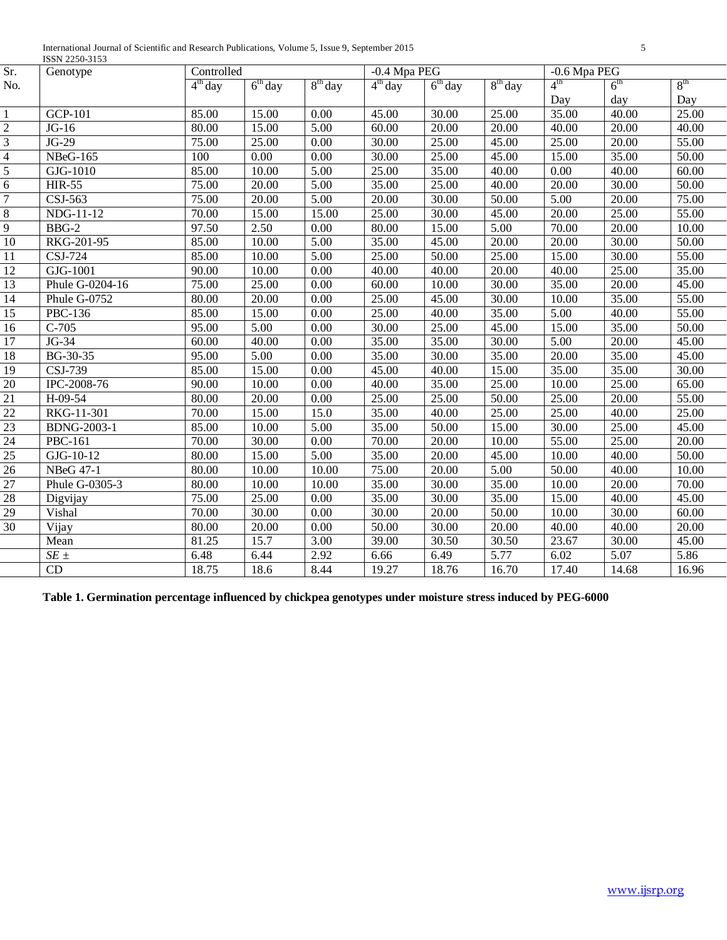| International Journal of Scientific and Research Publications, Volume 5, Issue 9, September<br>. |  |
|--------------------------------------------------------------------------------------------------|--|
| <b>ISSN</b><br>250<br>.                                                                          |  |

|                 | 10011 2200-0100       |                    |           |                   |              |                    |           |                 |                 |                    |
|-----------------|-----------------------|--------------------|-----------|-------------------|--------------|--------------------|-----------|-----------------|-----------------|--------------------|
| Sr.             | Genotype              | Controlled         |           |                   | -0.4 Mpa PEG |                    |           | -0.6 Mpa PEG    |                 |                    |
| No.             |                       | $4th$ day          | $6th$ day | $8th$ day         | $4th$ day    | $6th$ day          | $8th$ day | $4^{\text{th}}$ | 6 <sup>th</sup> | 8 <sup>th</sup>    |
|                 |                       |                    |           |                   |              |                    |           | Day             | day             | Day                |
| -1              | $GCP-101$             | 85.00              | 15.00     | 0.00              | 45.00        | 30.00              | 25.00     | 35.00           | 40.00           | 25.00              |
| $\overline{2}$  | $JG-16$               | 80.00              | 15.00     | 5.00              | 60.00        | 20.00              | 20.00     | 40.00           | 20.00           | 40.00              |
| $\overline{3}$  | $JG-29$               | 75.00              | 25.00     | 0.00              | 30.00        | 25.00              | 45.00     | 25.00           | 20.00           | 55.00              |
| $\overline{4}$  | <b>NBeG-165</b>       | 100                | 0.00      | $\overline{0.00}$ | 30.00        | 25.00              | 45.00     | 15.00           | 35.00           | 50.00              |
| $\overline{5}$  | $\overline{GJ}G-1010$ | 85.00              | 10.00     | 5.00              | 25.00        | 35.00              | 40.00     | 0.00            | 40.00           | 60.00              |
| $\overline{6}$  | <b>HIR-55</b>         | 75.00              | 20.00     | $\overline{5.00}$ | 35.00        | $\overline{25.00}$ | 40.00     | 20.00           | 30.00           | 50.00              |
| $\overline{7}$  | CSJ-563               | 75.00              | 20.00     | 5.00              | 20.00        | 30.00              | 50.00     | 5.00            | 20.00           | 75.00              |
| $\overline{8}$  | NDG-11-12             | 70.00              | 15.00     | 15.00             | 25.00        | 30.00              | 45.00     | 20.00           | 25.00           | 55.00              |
| $\overline{9}$  | BBG-2                 | 97.50              | 2.50      | $\overline{0.00}$ | 80.00        | 15.00              | 5.00      | 70.00           | 20.00           | 10.00              |
| 10              | RKG-201-95            | 85.00              | 10.00     | 5.00              | 35.00        | 45.00              | 20.00     | 20.00           | 30.00           | $\overline{50.00}$ |
| $\overline{11}$ | CSJ-724               | 85.00              | 10.00     | $\overline{5.00}$ | 25.00        | $\overline{50.00}$ | 25.00     | 15.00           | 30.00           | 55.00              |
| 12              | GJG-1001              | 90.00              | 10.00     | $\overline{0.00}$ | 40.00        | 40.00              | 20.00     | 40.00           | 25.00           | 35.00              |
| 13              | Phule G-0204-16       | 75.00              | 25.00     | 0.00              | 60.00        | 10.00              | 30.00     | 35.00           | 20.00           | 45.00              |
| 14              | Phule G-0752          | 80.00              | 20.00     | 0.00              | 25.00        | 45.00              | 30.00     | 10.00           | 35.00           | 55.00              |
| $\overline{15}$ | PBC-136               | 85.00              | 15.00     | 0.00              | 25.00        | 40.00              | 35.00     | 5.00            | 40.00           | 55.00              |
| 16              | $C-705$               | 95.00              | 5.00      | 0.00              | 30.00        | 25.00              | 45.00     | 15.00           | 35.00           | 50.00              |
| 17              | JG-34                 | 60.00              | 40.00     | 0.00              | 35.00        | 35.00              | 30.00     | 5.00            | 20.00           | 45.00              |
| 18              | BG-30-35              | 95.00              | 5.00      | 0.00              | 35.00        | 30.00              | 35.00     | 20.00           | 35.00           | 45.00              |
| 19              | CSJ-739               | 85.00              | 15.00     | 0.00              | 45.00        | 40.00              | 15.00     | 35.00           | 35.00           | 30.00              |
| 20              | IPC-2008-76           | 90.00              | 10.00     | 0.00              | 40.00        | 35.00              | 25.00     | 10.00           | 25.00           | 65.00              |
| 21              | H-09-54               | 80.00              | 20.00     | 0.00              | 25.00        | 25.00              | 50.00     | 25.00           | 20.00           | 55.00              |
| 22              | RKG-11-301            | 70.00              | 15.00     | 15.0              | 35.00        | 40.00              | 25.00     | 25.00           | 40.00           | 25.00              |
| 23              | <b>BDNG-2003-1</b>    | 85.00              | 10.00     | 5.00              | 35.00        | 50.00              | 15.00     | 30.00           | 25.00           | 45.00              |
| 24              | PBC-161               | 70.00              | 30.00     | 0.00              | 70.00        | 20.00              | 10.00     | 55.00           | 25.00           | 20.00              |
| $\overline{25}$ | GJG-10-12             | 80.00              | 15.00     | 5.00              | 35.00        | 20.00              | 45.00     | 10.00           | 40.00           | 50.00              |
| $\overline{26}$ | <b>NBeG 47-1</b>      | 80.00              | 10.00     | 10.00             | 75.00        | 20.00              | 5.00      | 50.00           | 40.00           | 10.00              |
| 27              | Phule G-0305-3        | 80.00              | 10.00     | 10.00             | 35.00        | 30.00              | 35.00     | 10.00           | 20.00           | 70.00              |
| 28              | Digvijay              | 75.00              | 25.00     | 0.00              | 35.00        | 30.00              | 35.00     | 15.00           | 40.00           | 45.00              |
| 29              | Vishal                | 70.00              | 30.00     | 0.00              | 30.00        | 20.00              | 50.00     | 10.00           | 30.00           | 60.00              |
| 30              | Vijay                 | 80.00              | 20.00     | 0.00              | 50.00        | 30.00              | 20.00     | 40.00           | 40.00           | 20.00              |
|                 | Mean                  | $\overline{81.25}$ | 15.7      | 3.00              | 39.00        | 30.50              | 30.50     | 23.67           | 30.00           | 45.00              |
|                 | $\overline{SE}$ ±     | 6.48               | 6.44      | 2.92              | 6.66         | 6.49               | 5.77      | 6.02            | 5.07            | 5.86               |
|                 | CD                    | 18.75              | 18.6      | 8.44              | 19.27        | 18.76              | 16.70     | 17.40           | 14.68           | 16.96              |
|                 |                       |                    |           |                   |              |                    |           |                 |                 |                    |

**Table 1. Germination percentage influenced by chickpea genotypes under moisture stress induced by PEG-6000**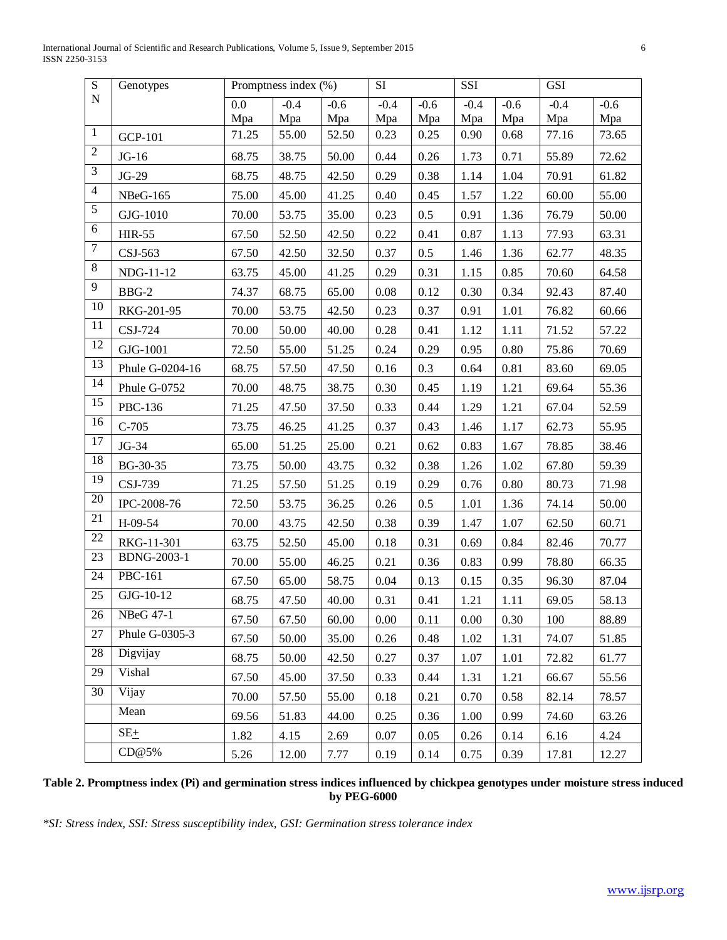International Journal of Scientific and Research Publications, Volume 5, Issue 9, September 2015 6 ISSN 2250-3153

| $\overline{S}$   | Genotypes       | Promptness index (%) |        |        | <b>SI</b><br><b>SSI</b> |        |        | $\overline{GSI}$ |        |        |
|------------------|-----------------|----------------------|--------|--------|-------------------------|--------|--------|------------------|--------|--------|
| ${\bf N}$        |                 | 0.0                  | $-0.4$ | $-0.6$ | $-0.4$                  | $-0.6$ | $-0.4$ | $-0.6$           | $-0.4$ | $-0.6$ |
|                  |                 | Mpa                  | Mpa    | Mpa    | Mpa                     | Mpa    | Mpa    | Mpa              | Mpa    | Mpa    |
| $\mathbf{1}$     | <b>GCP-101</b>  | 71.25                | 55.00  | 52.50  | 0.23                    | 0.25   | 0.90   | 0.68             | 77.16  | 73.65  |
| $\sqrt{2}$       | $JG-16$         | 68.75                | 38.75  | 50.00  | 0.44                    | 0.26   | 1.73   | 0.71             | 55.89  | 72.62  |
| $\mathfrak{Z}$   | $JG-29$         | 68.75                | 48.75  | 42.50  | 0.29                    | 0.38   | 1.14   | 1.04             | 70.91  | 61.82  |
| $\overline{4}$   | <b>NBeG-165</b> | 75.00                | 45.00  | 41.25  | 0.40                    | 0.45   | 1.57   | 1.22             | 60.00  | 55.00  |
| $\sqrt{5}$       | GJG-1010        | 70.00                | 53.75  | 35.00  | 0.23                    | 0.5    | 0.91   | 1.36             | 76.79  | 50.00  |
| $\sqrt{6}$       | <b>HIR-55</b>   | 67.50                | 52.50  | 42.50  | 0.22                    | 0.41   | 0.87   | 1.13             | 77.93  | 63.31  |
| $\boldsymbol{7}$ | CSJ-563         | 67.50                | 42.50  | 32.50  | 0.37                    | 0.5    | 1.46   | 1.36             | 62.77  | 48.35  |
| $8\,$            | NDG-11-12       | 63.75                | 45.00  | 41.25  | 0.29                    | 0.31   | 1.15   | 0.85             | 70.60  | 64.58  |
| $\overline{9}$   | BBG-2           | 74.37                | 68.75  | 65.00  | 0.08                    | 0.12   | 0.30   | 0.34             | 92.43  | 87.40  |
| $10\,$           | RKG-201-95      | 70.00                | 53.75  | 42.50  | 0.23                    | 0.37   | 0.91   | 1.01             | 76.82  | 60.66  |
| 11               | CSJ-724         | 70.00                | 50.00  | 40.00  | 0.28                    | 0.41   | 1.12   | 1.11             | 71.52  | 57.22  |
| $\overline{12}$  | GJG-1001        | 72.50                | 55.00  | 51.25  | 0.24                    | 0.29   | 0.95   | 0.80             | 75.86  | 70.69  |
| $\overline{13}$  | Phule G-0204-16 | 68.75                | 57.50  | 47.50  | 0.16                    | 0.3    | 0.64   | 0.81             | 83.60  | 69.05  |
| 14               | Phule G-0752    | 70.00                | 48.75  | 38.75  | 0.30                    | 0.45   | 1.19   | 1.21             | 69.64  | 55.36  |
| 15               | PBC-136         | 71.25                | 47.50  | 37.50  | 0.33                    | 0.44   | 1.29   | 1.21             | 67.04  | 52.59  |
| 16               | $C-705$         | 73.75                | 46.25  | 41.25  | 0.37                    | 0.43   | 1.46   | 1.17             | 62.73  | 55.95  |
| 17               | JG-34           | 65.00                | 51.25  | 25.00  | 0.21                    | 0.62   | 0.83   | 1.67             | 78.85  | 38.46  |
| $\overline{18}$  | BG-30-35        | 73.75                | 50.00  | 43.75  | 0.32                    | 0.38   | 1.26   | 1.02             | 67.80  | 59.39  |
| 19               | CSJ-739         | 71.25                | 57.50  | 51.25  | 0.19                    | 0.29   | 0.76   | 0.80             | 80.73  | 71.98  |
| $20\,$           | IPC-2008-76     | 72.50                | 53.75  | 36.25  | 0.26                    | 0.5    | 1.01   | 1.36             | 74.14  | 50.00  |
| 21               | H-09-54         | 70.00                | 43.75  | 42.50  | 0.38                    | 0.39   | 1.47   | 1.07             | 62.50  | 60.71  |
| $22\,$           | RKG-11-301      | 63.75                | 52.50  | 45.00  | 0.18                    | 0.31   | 0.69   | 0.84             | 82.46  | 70.77  |
| 23               | BDNG-2003-1     | 70.00                | 55.00  | 46.25  | 0.21                    | 0.36   | 0.83   | 0.99             | 78.80  | 66.35  |
| 24               | PBC-161         | 67.50                | 65.00  | 58.75  | 0.04                    | 0.13   | 0.15   | 0.35             | 96.30  | 87.04  |
| 25               | GJG-10-12       | 68.75                | 47.50  | 40.00  | 0.31                    | 0.41   | 1.21   | 1.11             | 69.05  | 58.13  |
| 26               | NBeG 47-1       | 67.50                | 67.50  | 60.00  | 0.00                    | 0.11   | 0.00   | 0.30             | 100    | 88.89  |
| 27               | Phule G-0305-3  | 67.50                | 50.00  | 35.00  | 0.26                    | 0.48   | 1.02   | 1.31             | 74.07  | 51.85  |
| 28               | Digvijay        | 68.75                | 50.00  | 42.50  | 0.27                    | 0.37   | 1.07   | 1.01             | 72.82  | 61.77  |
| 29               | Vishal          | 67.50                | 45.00  | 37.50  | 0.33                    | 0.44   | 1.31   | 1.21             | 66.67  | 55.56  |
| 30               | Vijay           | 70.00                | 57.50  | 55.00  | 0.18                    | 0.21   | 0.70   | 0.58             | 82.14  | 78.57  |
|                  | Mean            | 69.56                | 51.83  | 44.00  | 0.25                    | 0.36   | 1.00   | 0.99             | 74.60  | 63.26  |
|                  | $SE+$           | 1.82                 | 4.15   | 2.69   | 0.07                    | 0.05   | 0.26   | 0.14             | 6.16   | 4.24   |
|                  | CD@5%           | 5.26                 | 12.00  | 7.77   | 0.19                    | 0.14   | 0.75   | 0.39             | 17.81  | 12.27  |

## **Table 2. Promptness index (Pi) and germination stress indices influenced by chickpea genotypes under moisture stress induced by PEG-6000**

*\*SI: Stress index, SSI: Stress susceptibility index, GSI: Germination stress tolerance index*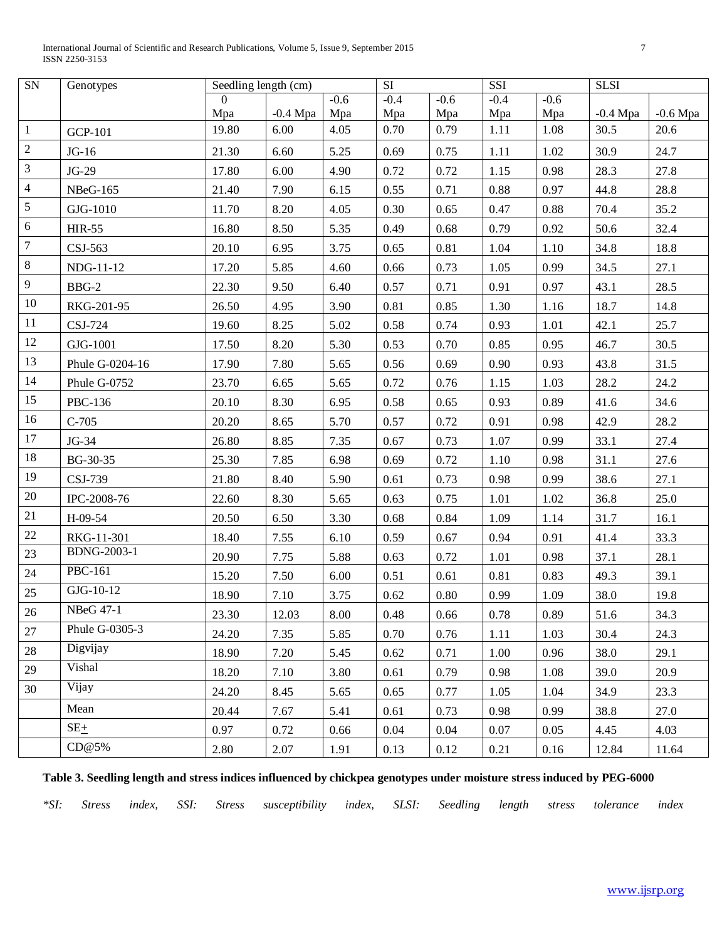International Journal of Scientific and Research Publications, Volume 5, Issue 9, September 2015 7 ISSN 2250-3153

| SN               | Genotypes                   | Seedling length (cm) |                    |             | $\overline{SI}$ |             | SSI         |             | <b>SLSI</b>        |                    |
|------------------|-----------------------------|----------------------|--------------------|-------------|-----------------|-------------|-------------|-------------|--------------------|--------------------|
|                  |                             | $\Omega$             |                    | $-0.6$      | $-0.4$          | $-0.6$      | $-0.4$      | $-0.6$      |                    |                    |
|                  |                             | Mpa<br>19.80         | $-0.4$ Mpa<br>6.00 | Mpa<br>4.05 | Mpa<br>0.70     | Mpa<br>0.79 | Mpa<br>1.11 | Mpa<br>1.08 | $-0.4$ Mpa<br>30.5 | $-0.6$ Mpa<br>20.6 |
| $\mathbf{1}$     | <b>GCP-101</b>              |                      |                    |             |                 |             |             |             |                    |                    |
| $\sqrt{2}$       | $JG-16$                     | 21.30                | 6.60               | 5.25        | 0.69            | 0.75        | 1.11        | 1.02        | 30.9               | 24.7               |
| $\mathfrak{Z}$   | $JG-29$                     | 17.80                | 6.00               | 4.90        | 0.72            | 0.72        | 1.15        | 0.98        | 28.3               | 27.8               |
| $\overline{4}$   | <b>NBeG-165</b>             | 21.40                | 7.90               | 6.15        | 0.55            | 0.71        | 0.88        | 0.97        | 44.8               | 28.8               |
| $\sqrt{5}$       | GJG-1010                    | 11.70                | 8.20               | 4.05        | 0.30            | 0.65        | 0.47        | 0.88        | 70.4               | 35.2               |
| $\sqrt{6}$       | <b>HIR-55</b>               | 16.80                | 8.50               | 5.35        | 0.49            | 0.68        | 0.79        | 0.92        | 50.6               | 32.4               |
| $\boldsymbol{7}$ | CSJ-563                     | 20.10                | 6.95               | 3.75        | 0.65            | 0.81        | 1.04        | 1.10        | 34.8               | 18.8               |
| $\,8\,$          | NDG-11-12                   | 17.20                | 5.85               | 4.60        | 0.66            | 0.73        | 1.05        | 0.99        | 34.5               | 27.1               |
| $\overline{9}$   | BBG-2                       | 22.30                | 9.50               | 6.40        | 0.57            | 0.71        | 0.91        | 0.97        | 43.1               | 28.5               |
| 10               | RKG-201-95                  | 26.50                | 4.95               | 3.90        | 0.81            | 0.85        | 1.30        | 1.16        | 18.7               | 14.8               |
| 11               | CSJ-724                     | 19.60                | 8.25               | 5.02        | 0.58            | 0.74        | 0.93        | 1.01        | 42.1               | 25.7               |
| 12               | GJG-1001                    | 17.50                | 8.20               | 5.30        | 0.53            | 0.70        | 0.85        | 0.95        | 46.7               | 30.5               |
| 13               | Phule G-0204-16             | 17.90                | 7.80               | 5.65        | 0.56            | 0.69        | 0.90        | 0.93        | 43.8               | 31.5               |
| 14               | Phule G-0752                | 23.70                | 6.65               | 5.65        | 0.72            | 0.76        | 1.15        | 1.03        | 28.2               | 24.2               |
| 15               | PBC-136                     | 20.10                | 8.30               | 6.95        | 0.58            | 0.65        | 0.93        | 0.89        | 41.6               | 34.6               |
| 16               | $C-705$                     | 20.20                | 8.65               | 5.70        | 0.57            | 0.72        | 0.91        | 0.98        | 42.9               | 28.2               |
| 17               | JG-34                       | 26.80                | 8.85               | 7.35        | 0.67            | 0.73        | 1.07        | 0.99        | 33.1               | 27.4               |
| 18               | BG-30-35                    | 25.30                | 7.85               | 6.98        | 0.69            | 0.72        | 1.10        | 0.98        | 31.1               | 27.6               |
| 19               | CSJ-739                     | 21.80                | 8.40               | 5.90        | 0.61            | 0.73        | 0.98        | 0.99        | 38.6               | 27.1               |
| 20               | IPC-2008-76                 | 22.60                | 8.30               | 5.65        | 0.63            | 0.75        | 1.01        | 1.02        | 36.8               | 25.0               |
| 21               | H-09-54                     | 20.50                | 6.50               | 3.30        | 0.68            | 0.84        | 1.09        | 1.14        | 31.7               | 16.1               |
| 22               | RKG-11-301                  | 18.40                | 7.55               | 6.10        | 0.59            | 0.67        | 0.94        | 0.91        | 41.4               | 33.3               |
| 23               | <b>BDNG-2003-1</b>          | 20.90                | 7.75               | 5.88        | 0.63            | 0.72        | 1.01        | 0.98        | 37.1               | 28.1               |
| 24               | $\overline{\text{PBC-161}}$ | 15.20                | 7.50               | 6.00        | 0.51            | 0.61        | 0.81        | 0.83        | 49.3               | 39.1               |
| 25               | GJG-10-12                   | 18.90                | 7.10               | 3.75        | 0.62            | 0.80        | 0.99        | 1.09        | 38.0               | 19.8               |
| 26               | NBeG 47-1                   | 23.30                | 12.03              | 8.00        | 0.48            | 0.66        | 0.78        | 0.89        | 51.6               | 34.3               |
| 27               | Phule G-0305-3              | 24.20                | 7.35               | 5.85        | 0.70            | 0.76        | 1.11        | 1.03        | 30.4               | 24.3               |
| 28               | Digvijay                    | 18.90                | 7.20               | 5.45        | 0.62            | 0.71        | 1.00        | 0.96        | 38.0               | 29.1               |
| 29               | Vishal                      | 18.20                | 7.10               | 3.80        | 0.61            | 0.79        | 0.98        | 1.08        | 39.0               | 20.9               |
| 30               | Vijay                       | 24.20                | 8.45               | 5.65        | 0.65            | 0.77        | 1.05        | 1.04        | 34.9               | 23.3               |
|                  | Mean                        | 20.44                | 7.67               | 5.41        | 0.61            | 0.73        | 0.98        | 0.99        | 38.8               | 27.0               |
|                  | $SE_{\pm}$                  | 0.97                 | 0.72               | 0.66        | 0.04            | 0.04        | 0.07        | 0.05        | 4.45               | 4.03               |
|                  | CD@5%                       | 2.80                 | 2.07               | 1.91        | 0.13            | 0.12        | 0.21        | 0.16        | 12.84              | 11.64              |

# **Table 3. Seedling length and stress indices influenced by chickpea genotypes under moisture stress induced by PEG-6000**

*\*SI: Stress index, SSI: Stress susceptibility index, SLSI: Seedling length stress tolerance index*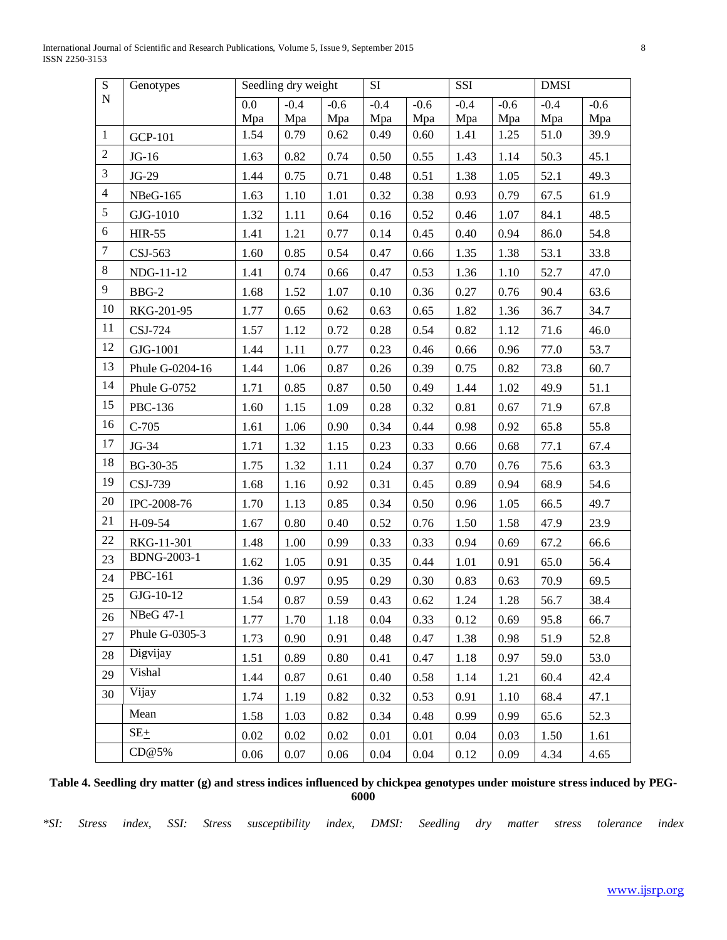International Journal of Scientific and Research Publications, Volume 5, Issue 9, September 2015 8 ISSN 2250-3153

| $\overline{S}$ | Genotypes       | Seedling dry weight |          | <b>SI</b> |        | SSI    |        | <b>DMSI</b> |        |        |
|----------------|-----------------|---------------------|----------|-----------|--------|--------|--------|-------------|--------|--------|
| ${\bf N}$      |                 | $0.0\,$             | $-0.4$   | $-0.6$    | $-0.4$ | $-0.6$ | $-0.4$ | $-0.6$      | $-0.4$ | $-0.6$ |
|                |                 | Mpa                 | Mpa      | Mpa       | Mpa    | Mpa    | Mpa    | Mpa         | Mpa    | Mpa    |
| $\mathbf{1}$   | <b>GCP-101</b>  | 1.54                | 0.79     | 0.62      | 0.49   | 0.60   | 1.41   | 1.25        | 51.0   | 39.9   |
| $\sqrt{2}$     | $JG-16$         | 1.63                | 0.82     | 0.74      | 0.50   | 0.55   | 1.43   | 1.14        | 50.3   | 45.1   |
| $\mathfrak{Z}$ | JG-29           | 1.44                | 0.75     | 0.71      | 0.48   | 0.51   | 1.38   | 1.05        | 52.1   | 49.3   |
| $\overline{4}$ | <b>NBeG-165</b> | 1.63                | 1.10     | 1.01      | 0.32   | 0.38   | 0.93   | 0.79        | 67.5   | 61.9   |
| 5              | GJG-1010        | 1.32                | 1.11     | 0.64      | 0.16   | 0.52   | 0.46   | 1.07        | 84.1   | 48.5   |
| 6              | <b>HIR-55</b>   | 1.41                | 1.21     | 0.77      | 0.14   | 0.45   | 0.40   | 0.94        | 86.0   | 54.8   |
| $\overline{7}$ | CSJ-563         | 1.60                | 0.85     | 0.54      | 0.47   | 0.66   | 1.35   | 1.38        | 53.1   | 33.8   |
| 8              | NDG-11-12       | 1.41                | 0.74     | 0.66      | 0.47   | 0.53   | 1.36   | 1.10        | 52.7   | 47.0   |
| 9              | BBG-2           | 1.68                | 1.52     | 1.07      | 0.10   | 0.36   | 0.27   | 0.76        | 90.4   | 63.6   |
| 10             | RKG-201-95      | 1.77                | 0.65     | 0.62      | 0.63   | 0.65   | 1.82   | 1.36        | 36.7   | 34.7   |
| 11             | CSJ-724         | 1.57                | 1.12     | 0.72      | 0.28   | 0.54   | 0.82   | 1.12        | 71.6   | 46.0   |
| 12             | GJG-1001        | 1.44                | 1.11     | 0.77      | 0.23   | 0.46   | 0.66   | 0.96        | 77.0   | 53.7   |
| 13             | Phule G-0204-16 | 1.44                | 1.06     | 0.87      | 0.26   | 0.39   | 0.75   | 0.82        | 73.8   | 60.7   |
| 14             | Phule G-0752    | 1.71                | 0.85     | 0.87      | 0.50   | 0.49   | 1.44   | 1.02        | 49.9   | 51.1   |
| 15             | PBC-136         | 1.60                | 1.15     | 1.09      | 0.28   | 0.32   | 0.81   | 0.67        | 71.9   | 67.8   |
| 16             | $C-705$         | 1.61                | 1.06     | 0.90      | 0.34   | 0.44   | 0.98   | 0.92        | 65.8   | 55.8   |
| 17             | JG-34           | 1.71                | 1.32     | 1.15      | 0.23   | 0.33   | 0.66   | 0.68        | 77.1   | 67.4   |
| 18             | BG-30-35        | 1.75                | 1.32     | 1.11      | 0.24   | 0.37   | 0.70   | 0.76        | 75.6   | 63.3   |
| 19             | CSJ-739         | 1.68                | 1.16     | 0.92      | 0.31   | 0.45   | 0.89   | 0.94        | 68.9   | 54.6   |
| 20             | IPC-2008-76     | 1.70                | 1.13     | 0.85      | 0.34   | 0.50   | 0.96   | 1.05        | 66.5   | 49.7   |
| 21             | H-09-54         | 1.67                | 0.80     | 0.40      | 0.52   | 0.76   | 1.50   | 1.58        | 47.9   | 23.9   |
| 22             | RKG-11-301      | 1.48                | 1.00     | 0.99      | 0.33   | 0.33   | 0.94   | 0.69        | 67.2   | 66.6   |
| 23             | BDNG-2003-1     | 1.62                | 1.05     | 0.91      | 0.35   | 0.44   | 1.01   | 0.91        | 65.0   | 56.4   |
| 24             | PBC-161         | 1.36                | 0.97     | 0.95      | 0.29   | 0.30   | 0.83   | 0.63        | 70.9   | 69.5   |
| 25             | GJG-10-12       | 1.54                | 0.87     | 0.59      | 0.43   | 0.62   | 1.24   | 1.28        | 56.7   | 38.4   |
| 26             | NBeG 47-1       | 1.77                | 1.70     | 1.18      | 0.04   | 0.33   | 0.12   | 0.69        | 95.8   | 66.7   |
| 27             | Phule G-0305-3  | 1.73                | 0.90     | 0.91      | 0.48   | 0.47   | 1.38   | 0.98        | 51.9   | 52.8   |
| 28             | Digvijay        | 1.51                | 0.89     | 0.80      | 0.41   | 0.47   | 1.18   | 0.97        | 59.0   | 53.0   |
| 29             | Vishal          | 1.44                | 0.87     | 0.61      | 0.40   | 0.58   | 1.14   | 1.21        | 60.4   | 42.4   |
| 30             | Vijay           | 1.74                | 1.19     | 0.82      | 0.32   | 0.53   | 0.91   | 1.10        | 68.4   | 47.1   |
|                | Mean            | 1.58                | 1.03     | 0.82      | 0.34   | 0.48   | 0.99   | 0.99        | 65.6   | 52.3   |
|                | $SE+$           | $0.02\,$            | $0.02\,$ | $0.02\,$  | 0.01   | 0.01   | 0.04   | 0.03        | 1.50   | 1.61   |
|                | CD@5%           | 0.06                | 0.07     | 0.06      | 0.04   | 0.04   | 0.12   | 0.09        | 4.34   | 4.65   |

## **Table 4. Seedling dry matter (g) and stress indices influenced by chickpea genotypes under moisture stress induced by PEG-6000**

*\*SI: Stress index, SSI: Stress susceptibility index, DMSI: Seedling dry matter stress tolerance index*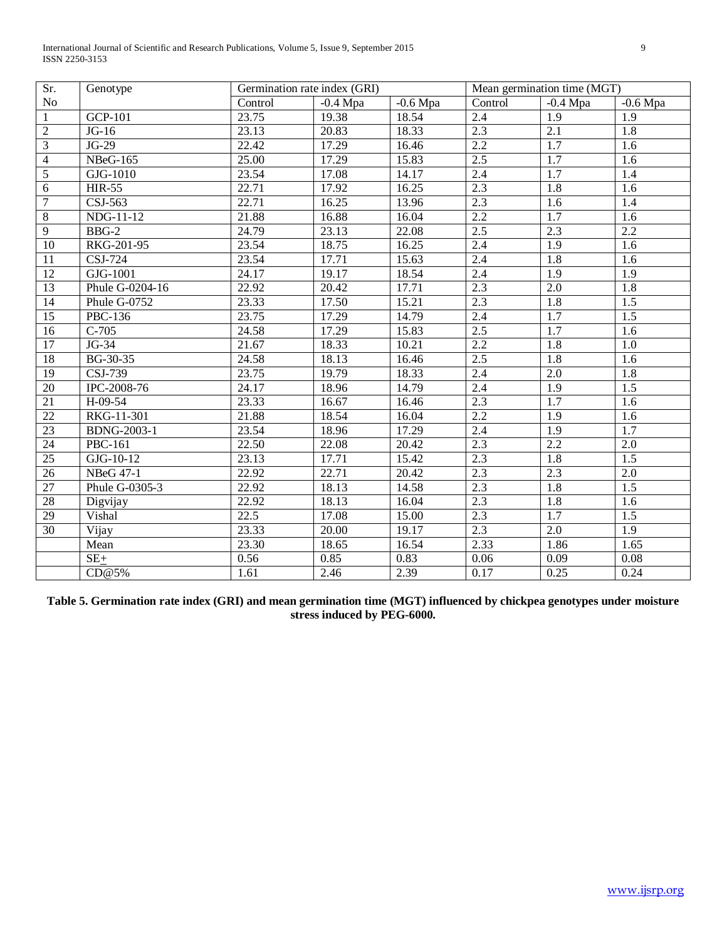International Journal of Scientific and Research Publications, Volume 5, Issue 9, September 2015 9 ISSN 2250-3153

| Sr.             | Genotype                       | Germination rate index (GRI) |            |            | Mean germination time (MGT) |                  |                  |  |
|-----------------|--------------------------------|------------------------------|------------|------------|-----------------------------|------------------|------------------|--|
| $\rm No$        |                                | Control                      | $-0.4$ Mpa | $-0.6$ Mpa | Control                     | $-0.4$ Mpa       | $-0.6$ Mpa       |  |
| $\mathbf{1}$    | <b>GCP-101</b>                 | 23.75                        | 19.38      | 18.54      | 2.4                         | 1.9              | 1.9              |  |
| $\overline{2}$  | $JG-16$                        | 23.13                        | 20.83      | 18.33      | 2.3                         | $\overline{2.1}$ | $\overline{1.8}$ |  |
| $\overline{3}$  | $JG-29$                        | 22.42                        | 17.29      | 16.46      | 2.2                         | $\overline{1.7}$ | 1.6              |  |
| $\overline{4}$  | <b>NBeG-165</b>                | 25.00                        | 17.29      | 15.83      | 2.5                         | $\overline{1.7}$ | $\overline{1.6}$ |  |
| $\overline{5}$  | $GJG-1010$                     | 23.54                        | 17.08      | 14.17      | 2.4                         | $\overline{1.7}$ | 1.4              |  |
| $\overline{6}$  | <b>HIR-55</b>                  | 22.71                        | 17.92      | 16.25      | $\overline{2.3}$            | $\overline{1.8}$ | 1.6              |  |
| $\overline{7}$  | CSJ-563                        | 22.71                        | 16.25      | 13.96      | $\overline{2.3}$            | 1.6              | 1.4              |  |
| $\overline{8}$  | $\overline{\text{NDG}}$ -11-12 | 21.88                        | 16.88      | 16.04      | $\overline{2.2}$            | 1.7              | 1.6              |  |
| $\overline{9}$  | $BBG-2$                        | 24.79                        | 23.13      | 22.08      | 2.5                         | $\overline{2.3}$ | $\overline{2.2}$ |  |
| $\overline{10}$ | RKG-201-95                     | 23.54                        | 18.75      | 16.25      | 2.4                         | 1.9              | $1.\overline{6}$ |  |
| $\overline{11}$ | CSJ-724                        | 23.54                        | 17.71      | 15.63      | 2.4                         | $\overline{1.8}$ | $\overline{1.6}$ |  |
| 12              | GJG-1001                       | 24.17                        | 19.17      | 18.54      | 2.4                         | $\overline{1.9}$ | $\overline{1.9}$ |  |
| $\overline{13}$ | Phule G-0204-16                | 22.92                        | 20.42      | 17.71      | $\overline{2.3}$            | 2.0              | $\overline{1.8}$ |  |
| 14              | Phule G-0752                   | 23.33                        | 17.50      | 15.21      | 2.3                         | 1.8              | 1.5              |  |
| $\overline{15}$ | <b>PBC-136</b>                 | 23.75                        | 17.29      | 14.79      | 2.4                         | 1.7              | 1.5              |  |
| 16              | $C-705$                        | 24.58                        | 17.29      | 15.83      | 2.5                         | 1.7              | 1.6              |  |
| $\overline{17}$ | JG-34                          | 21.67                        | 18.33      | 10.21      | $\overline{2.2}$            | 1.8              | 1.0              |  |
| $\overline{18}$ | BG-30-35                       | 24.58                        | 18.13      | 16.46      | $\overline{2.5}$            | 1.8              | 1.6              |  |
| $\overline{19}$ | CSJ-739                        | 23.75                        | 19.79      | 18.33      | 2.4                         | $\overline{2.0}$ | $\overline{1.8}$ |  |
| 20              | IPC-2008-76                    | 24.17                        | 18.96      | 14.79      | 2.4                         | $\overline{1.9}$ | 1.5              |  |
| 21              | $H-09-54$                      | 23.33                        | 16.67      | 16.46      | 2.3                         | 1.7              | 1.6              |  |
| $\overline{22}$ | RKG-11-301                     | 21.88                        | 18.54      | 16.04      | $\overline{2.2}$            | 1.9              | 1.6              |  |
| $\overline{23}$ | <b>BDNG-2003-1</b>             | 23.54                        | 18.96      | 17.29      | 2.4                         | 1.9              | $\overline{1.7}$ |  |
| 24              | <b>PBC-161</b>                 | 22.50                        | 22.08      | 20.42      | 2.3                         | 2.2              | 2.0              |  |
| $\overline{25}$ | GJG-10-12                      | 23.13                        | 17.71      | 15.42      | 2.3                         | 1.8              | 1.5              |  |
| 26              | <b>NBeG 47-1</b>               | 22.92                        | 22.71      | 20.42      | $\overline{2.3}$            | $\overline{2.3}$ | 2.0              |  |
| 27              | Phule G-0305-3                 | 22.92                        | 18.13      | 14.58      | 2.3                         | 1.8              | $\overline{1.5}$ |  |
| $\overline{28}$ | Digvijay                       | 22.92                        | 18.13      | 16.04      | $\overline{2.3}$            | $\overline{1.8}$ | 1.6              |  |
| 29              | Vishal                         | 22.5                         | 17.08      | 15.00      | 2.3                         | $\overline{1.7}$ | $\overline{1.5}$ |  |
| 30              | Vijay                          | 23.33                        | 20.00      | 19.17      | $\overline{2.3}$            | $\overline{2.0}$ | $\overline{1.9}$ |  |
|                 | Mean                           | 23.30                        | 18.65      | 16.54      | 2.33                        | 1.86             | 1.65             |  |
|                 | $SE+$                          | 0.56                         | 0.85       | 0.83       | 0.06                        | 0.09             | 0.08             |  |
|                 | CD@5%                          | 1.61                         | 2.46       | 2.39       | 0.17                        | 0.25             | 0.24             |  |

**Table 5. Germination rate index (GRI) and mean germination time (MGT) influenced by chickpea genotypes under moisture stress induced by PEG-6000.**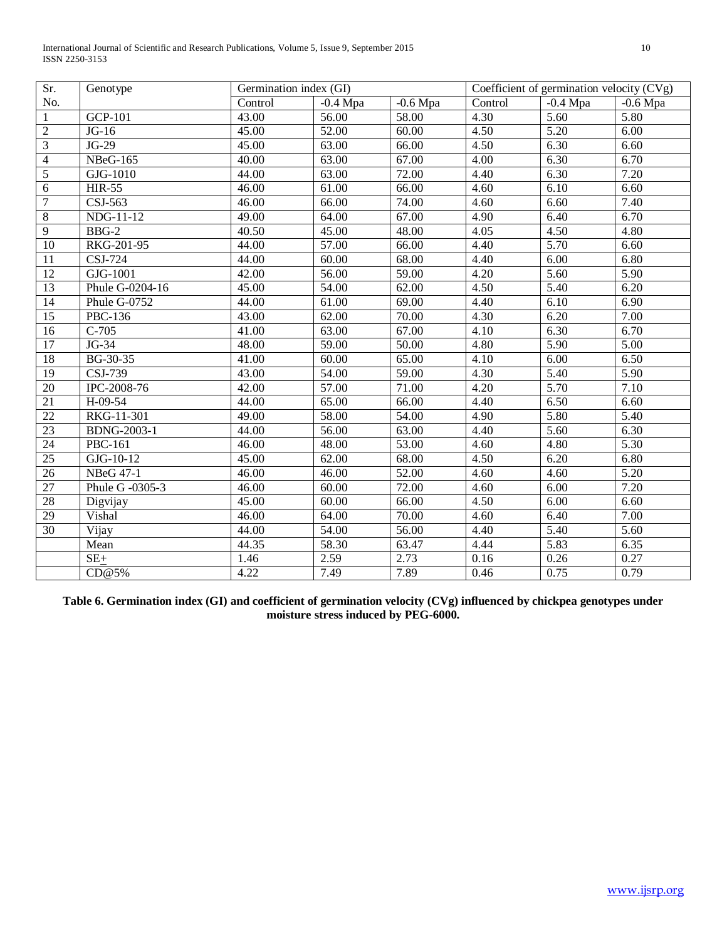International Journal of Scientific and Research Publications, Volume 5, Issue 9, September 2015 10 ISSN 2250-3153

| Sr.             | Genotype                    | Germination index (GI) |                    |            | Coefficient of germination velocity $(CVg)$ |                       |                   |  |
|-----------------|-----------------------------|------------------------|--------------------|------------|---------------------------------------------|-----------------------|-------------------|--|
| No.             |                             | Control                | $-0.4$ Mpa         | $-0.6$ Mpa | Control                                     | $\overline{-0.4}$ Mpa | $-0.6$ Mpa        |  |
| $\mathbf{1}$    | <b>GCP-101</b>              | 43.00                  | 56.00              | 58.00      | 4.30                                        | 5.60                  | 5.80              |  |
| $\overline{2}$  | $JG-16$                     | 45.00                  | 52.00              | 60.00      | 4.50                                        | 5.20                  | 6.00              |  |
| 3               | $JG-29$                     | 45.00                  | 63.00              | 66.00      | 4.50                                        | 6.30                  | 6.60              |  |
| $\overline{4}$  | <b>NBeG-165</b>             | 40.00                  | 63.00              | 67.00      | 4.00                                        | 6.30                  | 6.70              |  |
| $\sqrt{5}$      | GJG-1010                    | 44.00                  | 63.00              | 72.00      | 4.40                                        | 6.30                  | 7.20              |  |
| 6               | <b>HIR-55</b>               | 46.00                  | 61.00              | 66.00      | 4.60                                        | 6.10                  | 6.60              |  |
| 7               | $CSJ-563$                   | 46.00                  | 66.00              | 74.00      | 4.60                                        | 6.60                  | 7.40              |  |
| $\overline{8}$  | NDG-11-12                   | 49.00                  | 64.00              | 67.00      | 4.90                                        | 6.40                  | 6.70              |  |
| $\overline{9}$  | $BBG-2$                     | 40.50                  | 45.00              | 48.00      | 4.05                                        | 4.50                  | 4.80              |  |
| $\overline{10}$ | RKG-201-95                  | 44.00                  | 57.00              | 66.00      | 4.40                                        | 5.70                  | 6.60              |  |
| 11              | $\overline{\text{CSJ-724}}$ | 44.00                  | 60.00              | 68.00      | 4.40                                        | 6.00                  | 6.80              |  |
| $\overline{12}$ | GJG-1001                    | 42.00                  | 56.00              | 59.00      | 4.20                                        | 5.60                  | $\overline{5.90}$ |  |
| 13              | Phule G-0204-16             | 45.00                  | 54.00              | 62.00      | 4.50                                        | 5.40                  | 6.20              |  |
| 14              | Phule G-0752                | 44.00                  | 61.00              | 69.00      | 4.40                                        | 6.10                  | 6.90              |  |
| $\overline{15}$ | PBC-136                     | 43.00                  | $\overline{62.00}$ | 70.00      | 4.30                                        | 6.20                  | 7.00              |  |
| 16              | $C-705$                     | 41.00                  | 63.00              | 67.00      | 4.10                                        | 6.30                  | 6.70              |  |
| $\overline{17}$ | JG-34                       | 48.00                  | 59.00              | 50.00      | 4.80                                        | 5.90                  | 5.00              |  |
| $\overline{18}$ | $\overline{BG}$ -30-35      | 41.00                  | 60.00              | 65.00      | 4.10                                        | 6.00                  | 6.50              |  |
| $\overline{19}$ | CSJ-739                     | 43.00                  | 54.00              | 59.00      | 4.30                                        | 5.40                  | 5.90              |  |
| 20              | IPC-2008-76                 | 42.00                  | 57.00              | 71.00      | 4.20                                        | 5.70                  | 7.10              |  |
| 21              | $H-09-54$                   | 44.00                  | 65.00              | 66.00      | 4.40                                        | 6.50                  | 6.60              |  |
| $\overline{22}$ | RKG-11-301                  | 49.00                  | 58.00              | 54.00      | 4.90                                        | 5.80                  | 5.40              |  |
| $\overline{23}$ | <b>BDNG-2003-1</b>          | 44.00                  | 56.00              | 63.00      | 4.40                                        | $\overline{5.60}$     | 6.30              |  |
| 24              | <b>PBC-161</b>              | 46.00                  | 48.00              | 53.00      | 4.60                                        | 4.80                  | 5.30              |  |
| 25              | GJG-10-12                   | 45.00                  | 62.00              | 68.00      | 4.50                                        | 6.20                  | 6.80              |  |
| 26              | <b>NBeG 47-1</b>            | 46.00                  | 46.00              | 52.00      | 4.60                                        | 4.60                  | 5.20              |  |
| 27              | Phule G -0305-3             | 46.00                  | 60.00              | 72.00      | 4.60                                        | 6.00                  | 7.20              |  |
| $\overline{28}$ | Digvijay                    | 45.00                  | 60.00              | 66.00      | 4.50                                        | 6.00                  | 6.60              |  |
| 29              | Vishal                      | 46.00                  | 64.00              | 70.00      | 4.60                                        | 6.40                  | 7.00              |  |
| 30              | Vijay                       | 44.00                  | 54.00              | 56.00      | 4.40                                        | 5.40                  | 5.60              |  |
|                 | Mean                        | 44.35                  | 58.30              | 63.47      | 4.44                                        | 5.83                  | 6.35              |  |
|                 | $SE+$                       | 1.46                   | 2.59               | 2.73       | 0.16                                        | 0.26                  | 0.27              |  |
|                 | CD@5%                       | 4.22                   | 7.49               | 7.89       | 0.46                                        | 0.75                  | 0.79              |  |

**Table 6. Germination index (GI) and coefficient of germination velocity (CVg) influenced by chickpea genotypes under moisture stress induced by PEG-6000.**